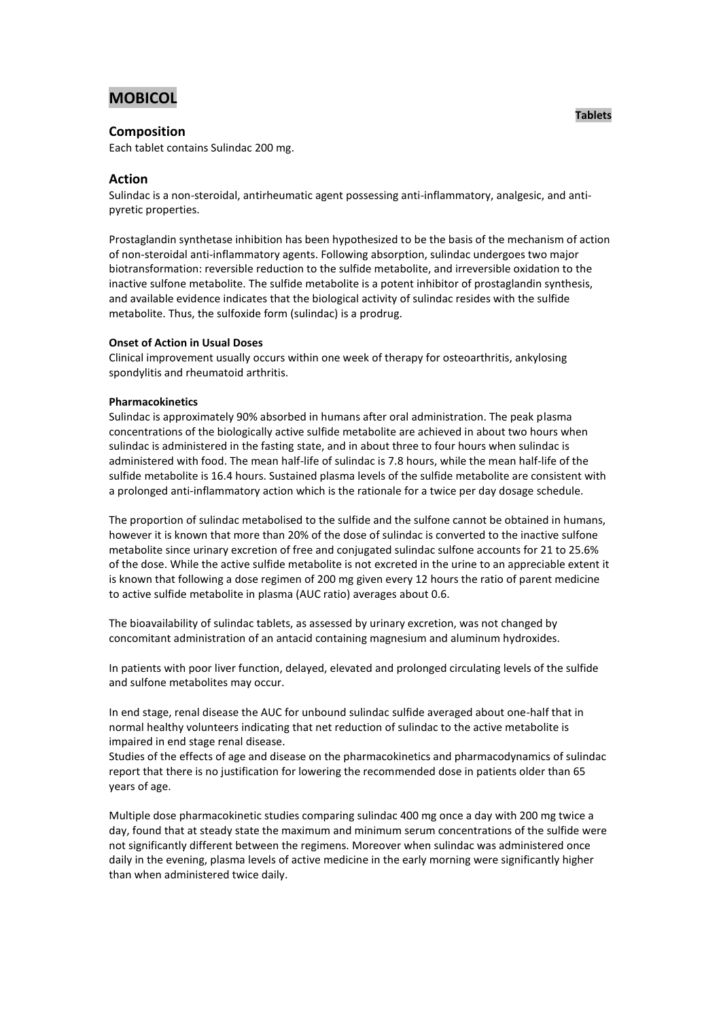# **MOBICOL**

# **Composition**

Each tablet contains Sulindac 200 mg.

# **Action**

Sulindac is a non-steroidal, antirheumatic agent possessing anti-inflammatory, analgesic, and antipyretic properties.

Prostaglandin synthetase inhibition has been hypothesized to be the basis of the mechanism of action of non-steroidal anti-inflammatory agents. Following absorption, sulindac undergoes two major biotransformation: reversible reduction to the sulfide metabolite, and irreversible oxidation to the inactive sulfone metabolite. The sulfide metabolite is a potent inhibitor of prostaglandin synthesis, and available evidence indicates that the biological activity of sulindac resides with the sulfide metabolite. Thus, the sulfoxide form (sulindac) is a prodrug.

### **Onset of Action in Usual Doses**

Clinical improvement usually occurs within one week of therapy for osteoarthritis, ankylosing spondylitis and rheumatoid arthritis.

### **Pharmacokinetics**

Sulindac is approximately 90% absorbed in humans after oral administration. The peak plasma concentrations of the biologically active sulfide metabolite are achieved in about two hours when sulindac is administered in the fasting state, and in about three to four hours when sulindac is administered with food. The mean half-life of sulindac is 7.8 hours, while the mean half-life of the sulfide metabolite is 16.4 hours. Sustained plasma levels of the sulfide metabolite are consistent with a prolonged anti-inflammatory action which is the rationale for a twice per day dosage schedule.

The proportion of sulindac metabolised to the sulfide and the sulfone cannot be obtained in humans, however it is known that more than 20% of the dose of sulindac is converted to the inactive sulfone metabolite since urinary excretion of free and conjugated sulindac sulfone accounts for 21 to 25.6% of the dose. While the active sulfide metabolite is not excreted in the urine to an appreciable extent it is known that following a dose regimen of 200 mg given every 12 hours the ratio of parent medicine to active sulfide metabolite in plasma (AUC ratio) averages about 0.6.

The bioavailability of sulindac tablets, as assessed by urinary excretion, was not changed by concomitant administration of an antacid containing magnesium and aluminum hydroxides.

In patients with poor liver function, delayed, elevated and prolonged circulating levels of the sulfide and sulfone metabolites may occur.

In end stage, renal disease the AUC for unbound sulindac sulfide averaged about one-half that in normal healthy volunteers indicating that net reduction of sulindac to the active metabolite is impaired in end stage renal disease.

Studies of the effects of age and disease on the pharmacokinetics and pharmacodynamics of sulindac report that there is no justification for lowering the recommended dose in patients older than 65 years of age.

Multiple dose pharmacokinetic studies comparing sulindac 400 mg once a day with 200 mg twice a day, found that at steady state the maximum and minimum serum concentrations of the sulfide were not significantly different between the regimens. Moreover when sulindac was administered once daily in the evening, plasma levels of active medicine in the early morning were significantly higher than when administered twice daily.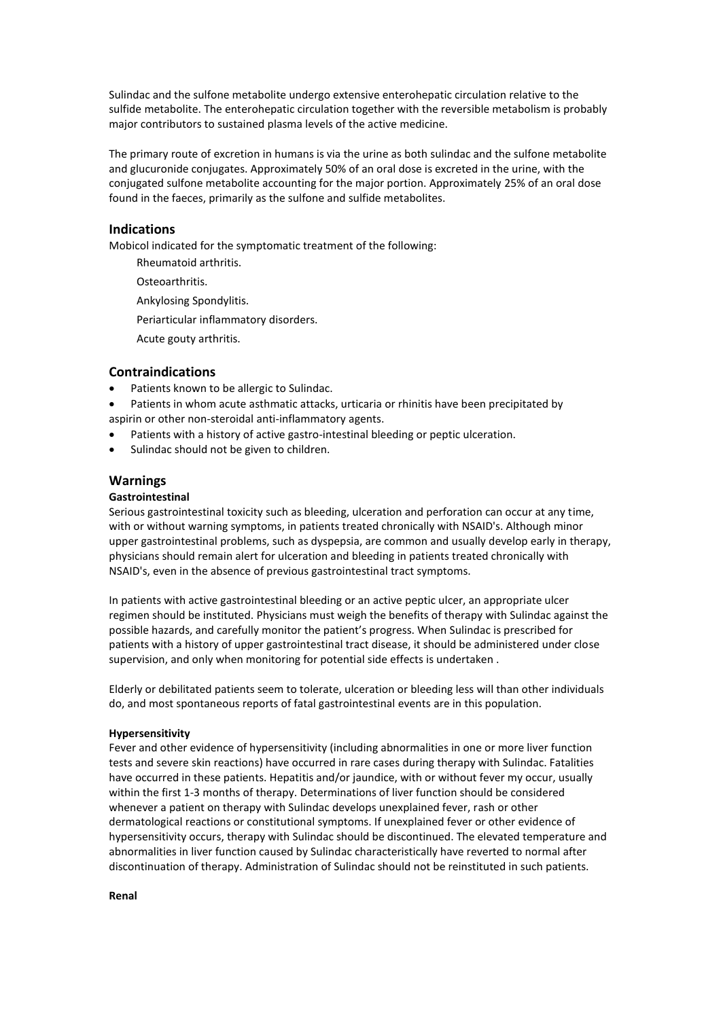Sulindac and the sulfone metabolite undergo extensive enterohepatic circulation relative to the sulfide metabolite. The enterohepatic circulation together with the reversible metabolism is probably major contributors to sustained plasma levels of the active medicine.

The primary route of excretion in humans is via the urine as both sulindac and the sulfone metabolite and glucuronide conjugates. Approximately 50% of an oral dose is excreted in the urine, with the conjugated sulfone metabolite accounting for the major portion. Approximately 25% of an oral dose found in the faeces, primarily as the sulfone and sulfide metabolites.

### **Indications**

Mobicol indicated for the symptomatic treatment of the following:

- Rheumatoid arthritis.
- Osteoarthritis.
- Ankylosing Spondylitis.
- Periarticular inflammatory disorders.
- Acute gouty arthritis.

### **Contraindications**

- Patients known to be allergic to Sulindac.
- Patients in whom acute asthmatic attacks, urticaria or rhinitis have been precipitated by aspirin or other non-steroidal anti-inflammatory agents.
- Patients with a history of active gastro-intestinal bleeding or peptic ulceration.
- Sulindac should not be given to children.

#### **Warnings**

### **Gastrointestinal**

Serious gastrointestinal toxicity such as bleeding, ulceration and perforation can occur at any time, with or without warning symptoms, in patients treated chronically with NSAID's. Although minor upper gastrointestinal problems, such as dyspepsia, are common and usually develop early in therapy, physicians should remain alert for ulceration and bleeding in patients treated chronically with NSAID's, even in the absence of previous gastrointestinal tract symptoms.

In patients with active gastrointestinal bleeding or an active peptic ulcer, an appropriate ulcer regimen should be instituted. Physicians must weigh the benefits of therapy with Sulindac against the possible hazards, and carefully monitor the patient's progress. When Sulindac is prescribed for patients with a history of upper gastrointestinal tract disease, it should be administered under close supervision, and only when monitoring for potential side effects is undertaken .

Elderly or debilitated patients seem to tolerate, ulceration or bleeding less will than other individuals do, and most spontaneous reports of fatal gastrointestinal events are in this population.

#### **Hypersensitivity**

Fever and other evidence of hypersensitivity (including abnormalities in one or more liver function tests and severe skin reactions) have occurred in rare cases during therapy with Sulindac. Fatalities have occurred in these patients. Hepatitis and/or jaundice, with or without fever my occur, usually within the first 1-3 months of therapy. Determinations of liver function should be considered whenever a patient on therapy with Sulindac develops unexplained fever, rash or other dermatological reactions or constitutional symptoms. If unexplained fever or other evidence of hypersensitivity occurs, therapy with Sulindac should be discontinued. The elevated temperature and abnormalities in liver function caused by Sulindac characteristically have reverted to normal after discontinuation of therapy. Administration of Sulindac should not be reinstituted in such patients.

**Renal**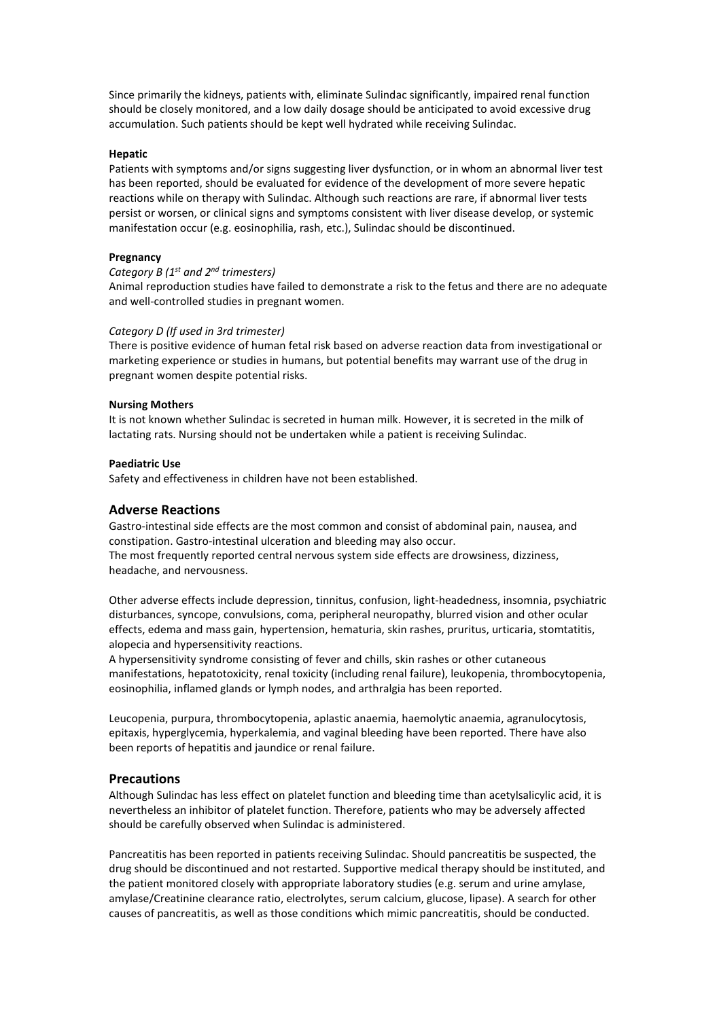Since primarily the kidneys, patients with, eliminate Sulindac significantly, impaired renal function should be closely monitored, and a low daily dosage should be anticipated to avoid excessive drug accumulation. Such patients should be kept well hydrated while receiving Sulindac.

#### **Hepatic**

Patients with symptoms and/or signs suggesting liver dysfunction, or in whom an abnormal liver test has been reported, should be evaluated for evidence of the development of more severe hepatic reactions while on therapy with Sulindac. Although such reactions are rare, if abnormal liver tests persist or worsen, or clinical signs and symptoms consistent with liver disease develop, or systemic manifestation occur (e.g. eosinophilia, rash, etc.), Sulindac should be discontinued.

### **Pregnancy**

### *Category B (1 st and 2nd trimesters)*

Animal reproduction studies have failed to demonstrate a risk to the fetus and there are no adequate and well-controlled studies in pregnant women.

#### *Category D (If used in 3rd trimester)*

There is positive evidence of human fetal risk based on adverse reaction data from investigational or marketing experience or studies in humans, but potential benefits may warrant use of the drug in pregnant women despite potential risks.

### **Nursing Mothers**

It is not known whether Sulindac is secreted in human milk. However, it is secreted in the milk of lactating rats. Nursing should not be undertaken while a patient is receiving Sulindac.

#### **Paediatric Use**

Safety and effectiveness in children have not been established.

### **Adverse Reactions**

Gastro-intestinal side effects are the most common and consist of abdominal pain, nausea, and constipation. Gastro-intestinal ulceration and bleeding may also occur. The most frequently reported central nervous system side effects are drowsiness, dizziness,

headache, and nervousness.

Other adverse effects include depression, tinnitus, confusion, light-headedness, insomnia, psychiatric disturbances, syncope, convulsions, coma, peripheral neuropathy, blurred vision and other ocular effects, edema and mass gain, hypertension, hematuria, skin rashes, pruritus, urticaria, stomtatitis, alopecia and hypersensitivity reactions.

A hypersensitivity syndrome consisting of fever and chills, skin rashes or other cutaneous manifestations, hepatotoxicity, renal toxicity (including renal failure), leukopenia, thrombocytopenia, eosinophilia, inflamed glands or lymph nodes, and arthralgia has been reported.

Leucopenia, purpura, thrombocytopenia, aplastic anaemia, haemolytic anaemia, agranulocytosis, epitaxis, hyperglycemia, hyperkalemia, and vaginal bleeding have been reported. There have also been reports of hepatitis and jaundice or renal failure.

### **Precautions**

Although Sulindac has less effect on platelet function and bleeding time than acetylsalicylic acid, it is nevertheless an inhibitor of platelet function. Therefore, patients who may be adversely affected should be carefully observed when Sulindac is administered.

Pancreatitis has been reported in patients receiving Sulindac. Should pancreatitis be suspected, the drug should be discontinued and not restarted. Supportive medical therapy should be instituted, and the patient monitored closely with appropriate laboratory studies (e.g. serum and urine amylase, amylase/Creatinine clearance ratio, electrolytes, serum calcium, glucose, lipase). A search for other causes of pancreatitis, as well as those conditions which mimic pancreatitis, should be conducted.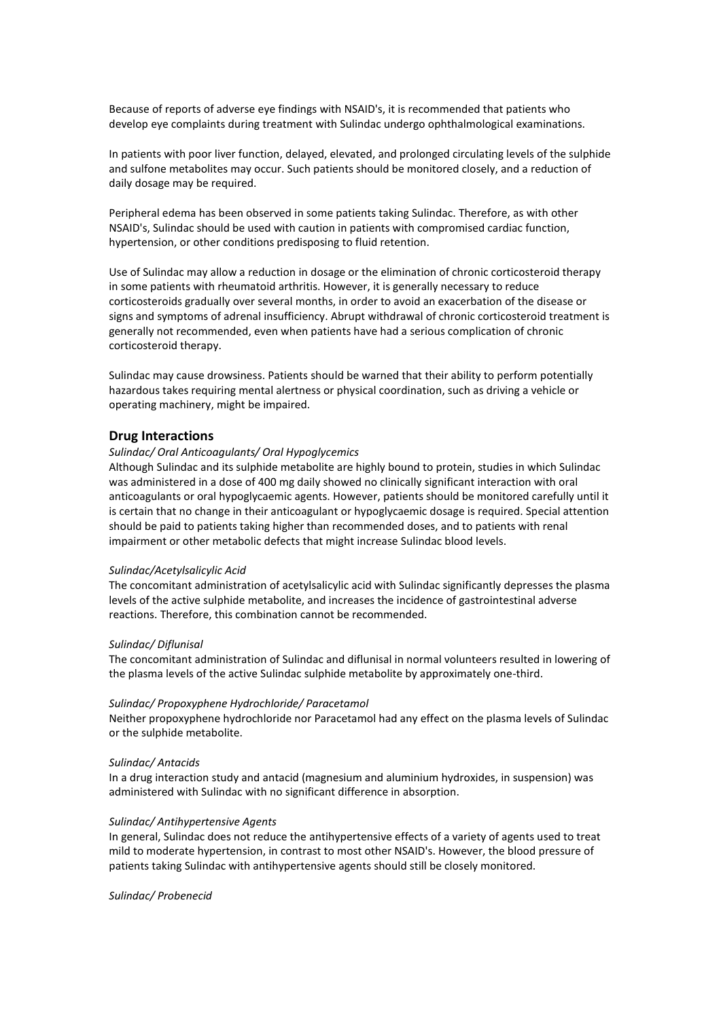Because of reports of adverse eye findings with NSAID's, it is recommended that patients who develop eye complaints during treatment with Sulindac undergo ophthalmological examinations.

In patients with poor liver function, delayed, elevated, and prolonged circulating levels of the sulphide and sulfone metabolites may occur. Such patients should be monitored closely, and a reduction of daily dosage may be required.

Peripheral edema has been observed in some patients taking Sulindac. Therefore, as with other NSAID's, Sulindac should be used with caution in patients with compromised cardiac function, hypertension, or other conditions predisposing to fluid retention.

Use of Sulindac may allow a reduction in dosage or the elimination of chronic corticosteroid therapy in some patients with rheumatoid arthritis. However, it is generally necessary to reduce corticosteroids gradually over several months, in order to avoid an exacerbation of the disease or signs and symptoms of adrenal insufficiency. Abrupt withdrawal of chronic corticosteroid treatment is generally not recommended, even when patients have had a serious complication of chronic corticosteroid therapy.

Sulindac may cause drowsiness. Patients should be warned that their ability to perform potentially hazardous takes requiring mental alertness or physical coordination, such as driving a vehicle or operating machinery, might be impaired.

### **Drug Interactions**

#### *Sulindac/ Oral Anticoagulants/ Oral Hypoglycemics*

Although Sulindac and its sulphide metabolite are highly bound to protein, studies in which Sulindac was administered in a dose of 400 mg daily showed no clinically significant interaction with oral anticoagulants or oral hypoglycaemic agents. However, patients should be monitored carefully until it is certain that no change in their anticoagulant or hypoglycaemic dosage is required. Special attention should be paid to patients taking higher than recommended doses, and to patients with renal impairment or other metabolic defects that might increase Sulindac blood levels.

#### *Sulindac/Acetylsalicylic Acid*

The concomitant administration of acetylsalicylic acid with Sulindac significantly depresses the plasma levels of the active sulphide metabolite, and increases the incidence of gastrointestinal adverse reactions. Therefore, this combination cannot be recommended.

#### *Sulindac/ Diflunisal*

The concomitant administration of Sulindac and diflunisal in normal volunteers resulted in lowering of the plasma levels of the active Sulindac sulphide metabolite by approximately one-third.

#### *Sulindac/ Propoxyphene Hydrochloride/ Paracetamol*

Neither propoxyphene hydrochloride nor Paracetamol had any effect on the plasma levels of Sulindac or the sulphide metabolite.

#### *Sulindac/ Antacids*

In a drug interaction study and antacid (magnesium and aluminium hydroxides, in suspension) was administered with Sulindac with no significant difference in absorption.

#### *Sulindac/ Antihypertensive Agents*

In general, Sulindac does not reduce the antihypertensive effects of a variety of agents used to treat mild to moderate hypertension, in contrast to most other NSAID's. However, the blood pressure of patients taking Sulindac with antihypertensive agents should still be closely monitored.

*Sulindac/ Probenecid*